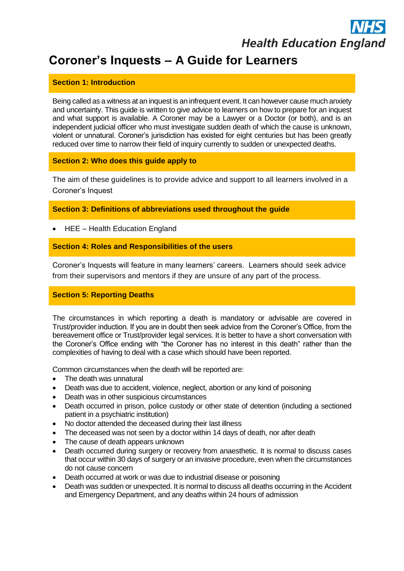# **Health Education England**

# **Coroner's Inquests – A Guide for Learners**

#### **Section 1: Introduction**

Being called as a witness at an inquest is an infrequent event. It can however cause much anxiety and uncertainty. This guide is written to give advice to learners on how to prepare for an inquest and what support is available. A Coroner may be a Lawyer or a Doctor (or both), and is an independent judicial officer who must investigate sudden death of which the cause is unknown, violent or unnatural. Coroner's jurisdiction has existed for eight centuries but has been greatly reduced over time to narrow their field of inquiry currently to sudden or unexpected deaths.

#### **Section 2: Who does this guide apply to**

The aim of these guidelines is to provide advice and support to all learners involved in a Coroner's Inquest

**Section 3: Definitions of abbreviations used throughout the guide**

• HEE – Health Education England

#### **Section 4: Roles and Responsibilities of the users**

Coroner's Inquests will feature in many learners' careers. Learners should seek advice from their supervisors and mentors if they are unsure of any part of the process.

# **Section 5: Reporting Deaths**

The circumstances in which reporting a death is mandatory or advisable are covered in Trust/provider induction. If you are in doubt then seek advice from the Coroner's Office, from the bereavement office or Trust/provider legal services. It is better to have a short conversation with the Coroner's Office ending with "the Coroner has no interest in this death" rather than the complexities of having to deal with a case which should have been reported.

Common circumstances when the death will be reported are:

- The death was unnatural
- Death was due to accident, violence, neglect, abortion or any kind of poisoning
- Death was in other suspicious circumstances
- Death occurred in prison, police custody or other state of detention (including a sectioned patient in a psychiatric institution)
- No doctor attended the deceased during their last illness
- The deceased was not seen by a doctor within 14 days of death, nor after death
- The cause of death appears unknown
- Death occurred during surgery or recovery from anaesthetic. It is normal to discuss cases that occur within 30 days of surgery or an invasive procedure, even when the circumstances do not cause concern
- Death occurred at work or was due to industrial disease or poisoning
- Death was sudden or unexpected. It is normal to discuss all deaths occurring in the Accident and Emergency Department, and any deaths within 24 hours of admission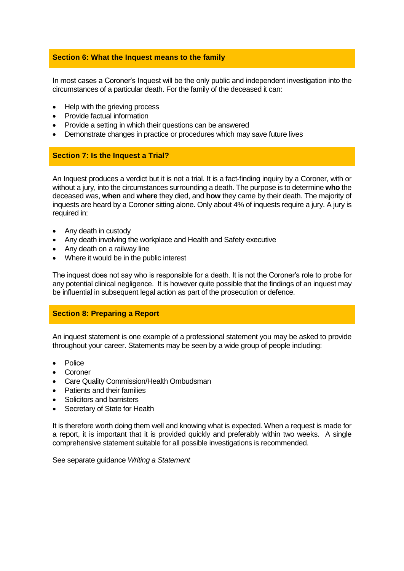#### **Section 6: What the Inquest means to the family**

In most cases a Coroner's Inquest will be the only public and independent investigation into the circumstances of a particular death. For the family of the deceased it can:

- Help with the grieving process
- Provide factual information
- Provide a setting in which their questions can be answered
- Demonstrate changes in practice or procedures which may save future lives

#### **Section 7: Is the Inquest a Trial?**

An Inquest produces a verdict but it is not a trial. It is a fact-finding inquiry by a Coroner, with or without a jury, into the circumstances surrounding a death. The purpose is to determine **who** the deceased was, **when** and **where** they died, and **how** they came by their death. The majority of inquests are heard by a Coroner sitting alone. Only about 4% of inquests require a jury. A jury is required in:

- Any death in custody
- Any death involving the workplace and Health and Safety executive
- Any death on a railway line
- Where it would be in the public interest

The inquest does not say who is responsible for a death. It is not the Coroner's role to probe for any potential clinical negligence. It is however quite possible that the findings of an inquest may be influential in subsequent legal action as part of the prosecution or defence.

#### **Section 8: Preparing a Report**

An inquest statement is one example of a professional statement you may be asked to provide throughout your career. Statements may be seen by a wide group of people including:

- Police
- **Coroner**
- Care Quality Commission/Health Ombudsman
- Patients and their families
- Solicitors and barristers
- Secretary of State for Health

It is therefore worth doing them well and knowing what is expected. When a request is made for a report, it is important that it is provided quickly and preferably within two weeks. A single comprehensive statement suitable for all possible investigations is recommended.

See separate guidance *Writing a Statement*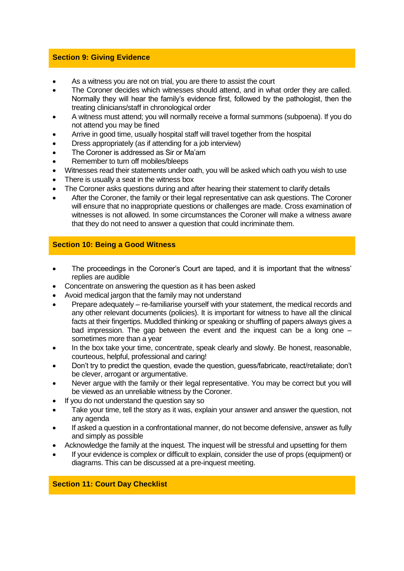#### **Section 9: Giving Evidence**

- As a witness you are not on trial, you are there to assist the court
- The Coroner decides which witnesses should attend, and in what order they are called. Normally they will hear the family's evidence first, followed by the pathologist, then the treating clinicians/staff in chronological order
- A witness must attend; you will normally receive a formal summons (subpoena). If you do not attend you may be fined
- Arrive in good time, usually hospital staff will travel together from the hospital
- Dress appropriately (as if attending for a job interview)
- The Coroner is addressed as Sir or Ma'am
- Remember to turn off mobiles/bleeps
- Witnesses read their statements under oath, you will be asked which oath you wish to use
- There is usually a seat in the witness box
- The Coroner asks questions during and after hearing their statement to clarify details
- After the Coroner, the family or their legal representative can ask questions. The Coroner will ensure that no inappropriate questions or challenges are made. Cross examination of witnesses is not allowed. In some circumstances the Coroner will make a witness aware that they do not need to answer a question that could incriminate them.

# **Section 10: Being a Good Witness**

- The proceedings in the Coroner's Court are taped, and it is important that the witness' replies are audible
- Concentrate on answering the question as it has been asked
- Avoid medical jargon that the family may not understand
- Prepare adequately re-familiarise yourself with your statement, the medical records and any other relevant documents (policies). It is important for witness to have all the clinical facts at their fingertips. Muddled thinking or speaking or shuffling of papers always gives a bad impression. The gap between the event and the inquest can be a long one – sometimes more than a year
- In the box take your time, concentrate, speak clearly and slowly. Be honest, reasonable, courteous, helpful, professional and caring!
- Don't try to predict the question, evade the question, guess/fabricate, react/retaliate; don't be clever, arrogant or argumentative.
- Never argue with the family or their legal representative. You may be correct but you will be viewed as an unreliable witness by the Coroner.
- If you do not understand the question say so
- Take your time, tell the story as it was, explain your answer and answer the question, not any agenda
- If asked a question in a confrontational manner, do not become defensive, answer as fully and simply as possible
- Acknowledge the family at the inquest. The inquest will be stressful and upsetting for them
- If your evidence is complex or difficult to explain, consider the use of props (equipment) or diagrams. This can be discussed at a pre-inquest meeting.

# **Section 11: Court Day Checklist**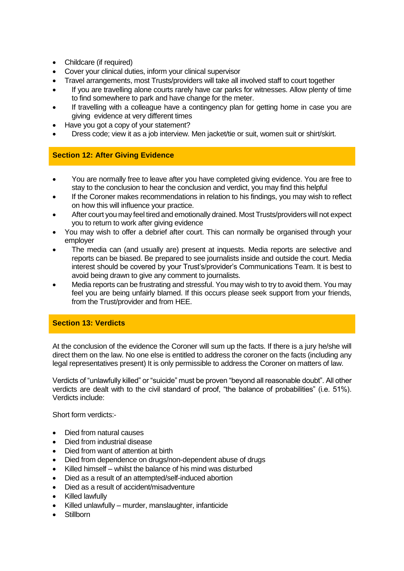- Childcare (if required)
- Cover your clinical duties, inform your clinical supervisor
- Travel arrangements, most Trusts/providers will take all involved staff to court together
- If you are travelling alone courts rarely have car parks for witnesses. Allow plenty of time to find somewhere to park and have change for the meter.
- If travelling with a colleague have a contingency plan for getting home in case you are giving evidence at very different times
- Have you got a copy of your statement?
- Dress code; view it as a job interview. Men jacket/tie or suit, women suit or shirt/skirt.

# **Section 12: After Giving Evidence**

- You are normally free to leave after you have completed giving evidence. You are free to stay to the conclusion to hear the conclusion and verdict, you may find this helpful
- If the Coroner makes recommendations in relation to his findings, you may wish to reflect on how this will influence your practice.
- After court you may feel tired and emotionally drained. Most Trusts/providers will not expect you to return to work after giving evidence
- You may wish to offer a debrief after court. This can normally be organised through your employer
- The media can (and usually are) present at inquests. Media reports are selective and reports can be biased. Be prepared to see journalists inside and outside the court. Media interest should be covered by your Trust's/provider's Communications Team. It is best to avoid being drawn to give any comment to journalists.
- Media reports can be frustrating and stressful. You may wish to try to avoid them. You may feel you are being unfairly blamed. If this occurs please seek support from your friends, from the Trust/provider and from HEE.

#### **Section 13: Verdicts**

At the conclusion of the evidence the Coroner will sum up the facts. If there is a jury he/she will direct them on the law. No one else is entitled to address the coroner on the facts (including any legal representatives present) It is only permissible to address the Coroner on matters of law.

Verdicts of "unlawfully killed" or "suicide" must be proven "beyond all reasonable doubt". All other verdicts are dealt with to the civil standard of proof, "the balance of probabilities" (i.e. 51%). Verdicts include:

Short form verdicts:-

- Died from natural causes
- Died from industrial disease
- Died from want of attention at birth
- Died from dependence on drugs/non-dependent abuse of drugs
- Killed himself whilst the balance of his mind was disturbed
- Died as a result of an attempted/self-induced abortion
- Died as a result of accident/misadventure
- Killed lawfully
- Killed unlawfully murder, manslaughter, infanticide
- Stillborn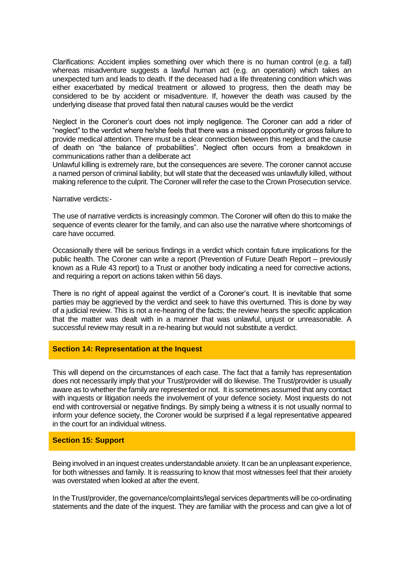Clarifications: Accident implies something over which there is no human control (e.g. a fall) whereas misadventure suggests a lawful human act (e.g. an operation) which takes an unexpected turn and leads to death. If the deceased had a life threatening condition which was either exacerbated by medical treatment or allowed to progress, then the death may be considered to be by accident or misadventure. If, however the death was caused by the underlying disease that proved fatal then natural causes would be the verdict

Neglect in the Coroner's court does not imply negligence. The Coroner can add a rider of "neglect" to the verdict where he/she feels that there was a missed opportunity or gross failure to provide medical attention. There must be a clear connection between this neglect and the cause of death on "the balance of probabilities". Neglect often occurs from a breakdown in communications rather than a deliberate act

Unlawful killing is extremely rare, but the consequences are severe. The coroner cannot accuse a named person of criminal liability, but will state that the deceased was unlawfully killed, without making reference to the culprit. The Coroner will refer the case to the Crown Prosecution service.

Narrative verdicts:-

The use of narrative verdicts is increasingly common. The Coroner will often do this to make the sequence of events clearer for the family, and can also use the narrative where shortcomings of care have occurred.

Occasionally there will be serious findings in a verdict which contain future implications for the public health. The Coroner can write a report (Prevention of Future Death Report – previously known as a Rule 43 report) to a Trust or another body indicating a need for corrective actions, and requiring a report on actions taken within 56 days.

There is no right of appeal against the verdict of a Coroner's court. It is inevitable that some parties may be aggrieved by the verdict and seek to have this overturned. This is done by way of a judicial review. This is not a re-hearing of the facts; the review hears the specific application that the matter was dealt with in a manner that was unlawful, unjust or unreasonable. A successful review may result in a re-hearing but would not substitute a verdict.

#### **Section 14: Representation at the Inquest**

This will depend on the circumstances of each case. The fact that a family has representation does not necessarily imply that your Trust/provider will do likewise. The Trust/provider is usually aware as to whether the family are represented or not. It is sometimes assumed that any contact with inquests or litigation needs the involvement of your defence society. Most inquests do not end with controversial or negative findings. By simply being a witness it is not usually normal to inform your defence society, the Coroner would be surprised if a legal representative appeared in the court for an individual witness.

#### **Section 15: Support**

Being involved in an inquest creates understandable anxiety. It can be an unpleasant experience, for both witnesses and family. It is reassuring to know that most witnesses feel that their anxiety was overstated when looked at after the event.

In the Trust/provider, the governance/complaints/legal services departments will be co-ordinating statements and the date of the inquest. They are familiar with the process and can give a lot of